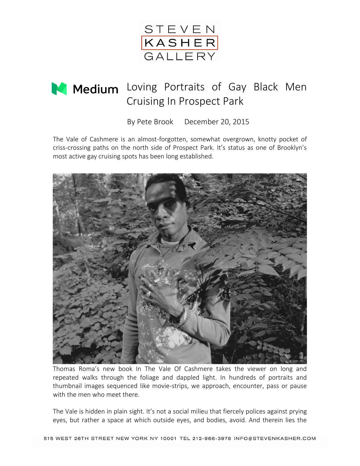

## Medium Loving Portraits of Gay Black Men Cruising In Prospect Park

By Pete Brook December 20, 2015

The Vale of Cashmere is an almost-forgotten, somewhat overgrown, knotty pocket of criss-crossing paths on the north side of Prospect Park. It's status as one of Brooklyn's most active gay cruising spots has been long established.



Thomas Roma's new book In The Vale Of Cashmere takes the viewer on long and repeated walks through the foliage and dappled light. In hundreds of portraits and thumbnail images sequenced like movie-strips, we approach, encounter, pass or pause with the men who meet there.

The Vale is hidden in plain sight. It's not a social milieu that fiercely polices against prying eyes, but rather a space at which outside eyes, and bodies, avoid. And therein lies the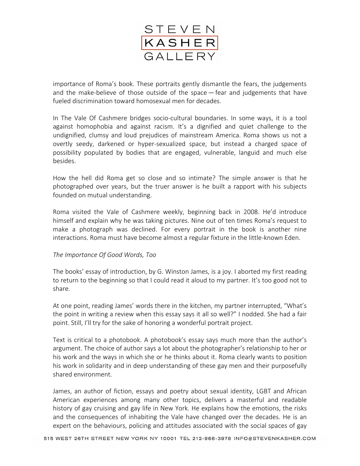

importance of Roma's book. These portraits gently dismantle the fears, the judgements and the make-believe of those outside of the space – fear and judgements that have fueled discrimination toward homosexual men for decades.

In The Vale Of Cashmere bridges socio-cultural boundaries. In some ways, it is a tool against homophobia and against racism. It's a dignified and quiet challenge to the undignified, clumsy and loud prejudices of mainstream America. Roma shows us not a overtly seedy, darkened or hyper-sexualized space, but instead a charged space of possibility populated by bodies that are engaged, vulnerable, languid and much else besides.

How the hell did Roma get so close and so intimate? The simple answer is that he photographed over years, but the truer answer is he built a rapport with his subjects founded on mutual understanding.

Roma visited the Vale of Cashmere weekly, beginning back in 2008. He'd introduce himself and explain why he was taking pictures. Nine out of ten times Roma's request to make a photograph was declined. For every portrait in the book is another nine interactions. Roma must have become almost a regular fixture in the little-known Eden.

## *The Importance Of Good Words, Too*

The books' essay of introduction, by G. Winston James, is a joy. I aborted my first reading to return to the beginning so that I could read it aloud to my partner. It's too good not to share.

At one point, reading James' words there in the kitchen, my partner interrupted, "What's the point in writing a review when this essay says it all so well?" I nodded. She had a fair point. Still, I'll try for the sake of honoring a wonderful portrait project.

Text is critical to a photobook. A photobook's essay says much more than the author's argument. The choice of author says a lot about the photographer's relationship to her or his work and the ways in which she or he thinks about it. Roma clearly wants to position his work in solidarity and in deep understanding of these gay men and their purposefully shared environment.

James, an author of fiction, essays and poetry about sexual identity, LGBT and African American experiences among many other topics, delivers a masterful and readable history of gay cruising and gay life in New York. He explains how the emotions, the risks and the consequences of inhabiting the Vale have changed over the decades. He is an expert on the behaviours, policing and attitudes associated with the social spaces of gay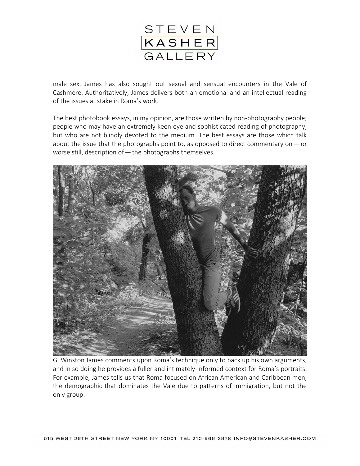

male sex. James has also sought out sexual and sensual encounters in the Vale of Cashmere. Authoritatively, James delivers both an emotional and an intellectual reading of the issues at stake in Roma's work.

The best photobook essays, in my opinion, are those written by non-photography people; people who may have an extremely keen eye and sophisticated reading of photography, but who are not blindly devoted to the medium. The best essays are those which talk about the issue that the photographs point to, as opposed to direct commentary on  $-$  or worse still, description of - the photographs themselves.



G. Winston James comments upon Roma's technique only to back up his own arguments, and in so doing he provides a fuller and intimately-informed context for Roma's portraits. For example, James tells us that Roma focused on African American and Caribbean men, the demographic that dominates the Vale due to patterns of immigration, but not the only group.